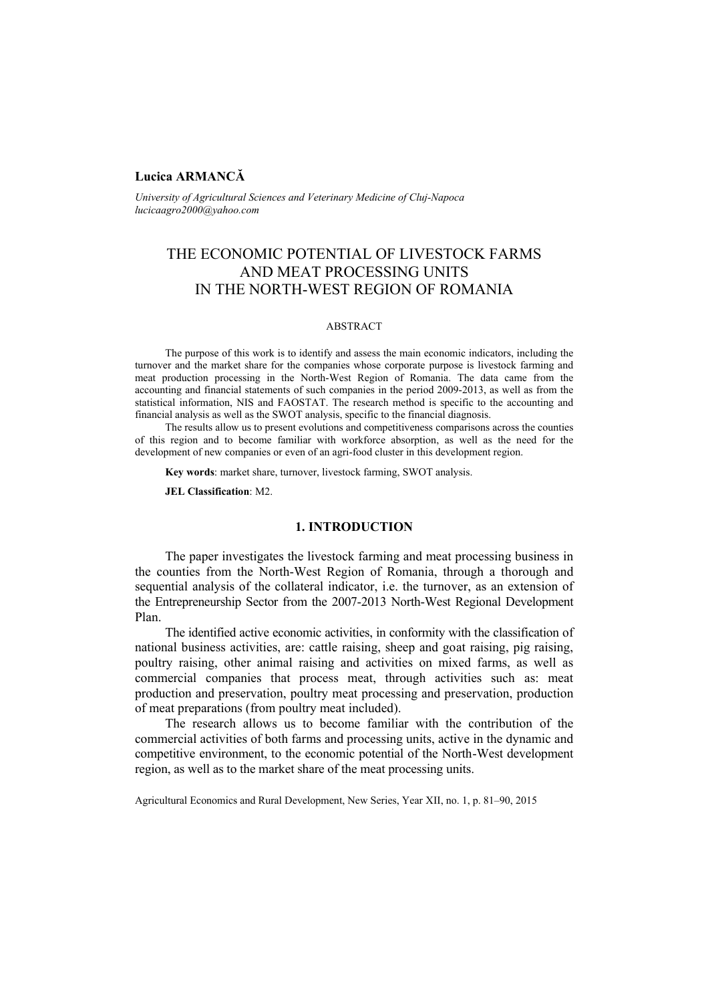# **Lucica ARMANCĂ**

*University of Agricultural Sciences and Veterinary Medicine of Cluj-Napoca lucicaagro2000@yahoo.com* 

# THE ECONOMIC POTENTIAL OF LIVESTOCK FARMS AND MEAT PROCESSING UNITS IN THE NORTH-WEST REGION OF ROMANIA

#### ABSTRACT

The purpose of this work is to identify and assess the main economic indicators, including the turnover and the market share for the companies whose corporate purpose is livestock farming and meat production processing in the North-West Region of Romania. The data came from the accounting and financial statements of such companies in the period 2009-2013, as well as from the statistical information, NIS and FAOSTAT. The research method is specific to the accounting and financial analysis as well as the SWOT analysis, specific to the financial diagnosis.

The results allow us to present evolutions and competitiveness comparisons across the counties of this region and to become familiar with workforce absorption, as well as the need for the development of new companies or even of an agri-food cluster in this development region.

**Key words**: market share, turnover, livestock farming, SWOT analysis.

**JEL Classification**: M2.

# **1. INTRODUCTION**

The paper investigates the livestock farming and meat processing business in the counties from the North-West Region of Romania, through a thorough and sequential analysis of the collateral indicator, i.e. the turnover, as an extension of the Entrepreneurship Sector from the 2007-2013 North-West Regional Development Plan.

The identified active economic activities, in conformity with the classification of national business activities, are: cattle raising, sheep and goat raising, pig raising, poultry raising, other animal raising and activities on mixed farms, as well as commercial companies that process meat, through activities such as: meat production and preservation, poultry meat processing and preservation, production of meat preparations (from poultry meat included).

The research allows us to become familiar with the contribution of the commercial activities of both farms and processing units, active in the dynamic and competitive environment, to the economic potential of the North-West development region, as well as to the market share of the meat processing units.

Agricultural Economics and Rural Development, New Series, Year XII, no. 1, p. 81–90, 2015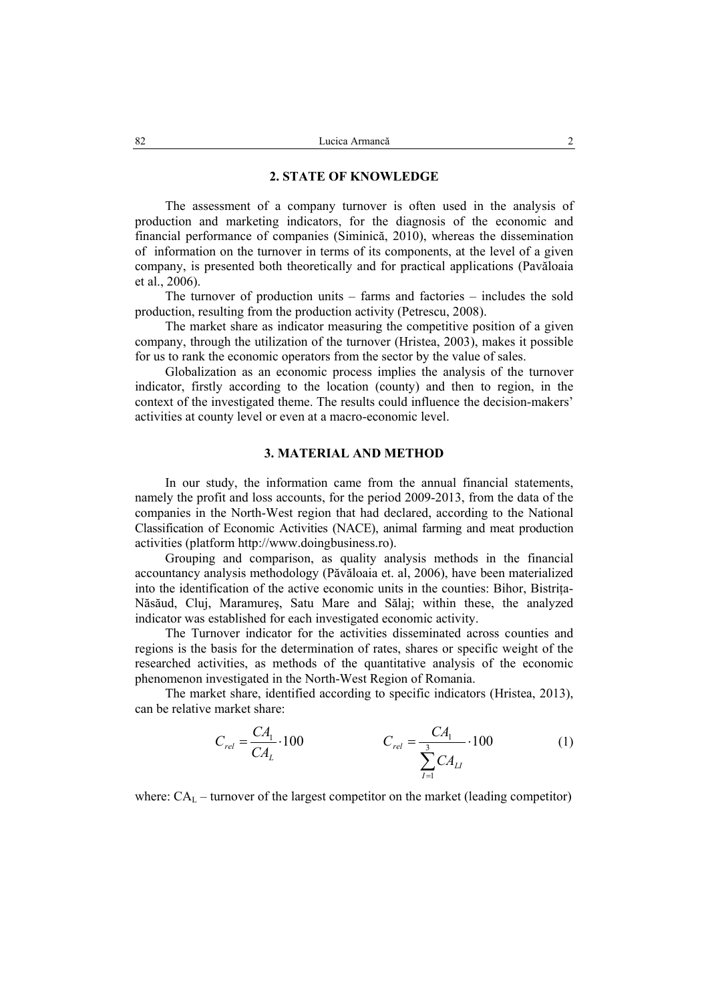### **2. STATE OF KNOWLEDGE**

The assessment of a company turnover is often used in the analysis of production and marketing indicators, for the diagnosis of the economic and financial performance of companies (Siminică, 2010), whereas the dissemination of information on the turnover in terms of its components, at the level of a given company, is presented both theoretically and for practical applications (Pavăloaia et al., 2006).

The turnover of production units – farms and factories – includes the sold production, resulting from the production activity (Petrescu, 2008).

The market share as indicator measuring the competitive position of a given company, through the utilization of the turnover (Hristea, 2003), makes it possible for us to rank the economic operators from the sector by the value of sales.

Globalization as an economic process implies the analysis of the turnover indicator, firstly according to the location (county) and then to region, in the context of the investigated theme. The results could influence the decision-makers' activities at county level or even at a macro-economic level.

### **3. MATERIAL AND METHOD**

In our study, the information came from the annual financial statements, namely the profit and loss accounts, for the period 2009-2013, from the data of the companies in the North-West region that had declared, according to the National Classification of Economic Activities (NACE), animal farming and meat production activities (platform http://www.doingbusiness.ro).

Grouping and comparison, as quality analysis methods in the financial accountancy analysis methodology (Păvăloaia et. al, 2006), have been materialized into the identification of the active economic units in the counties: Bihor, Bistrita-Năsăud, Cluj, Maramureş, Satu Mare and Sălaj; within these, the analyzed indicator was established for each investigated economic activity.

The Turnover indicator for the activities disseminated across counties and regions is the basis for the determination of rates, shares or specific weight of the researched activities, as methods of the quantitative analysis of the economic phenomenon investigated in the North-West Region of Romania.

The market share, identified according to specific indicators (Hristea, 2013), can be relative market share:

$$
C_{rel} = \frac{CA_1}{CA_L} \cdot 100 \qquad C_{rel} = \frac{CA_1}{\sum_{I=1}^{3} CA_{LI}} \cdot 100 \qquad (1)
$$

where:  $CA_L$  – turnover of the largest competitor on the market (leading competitor)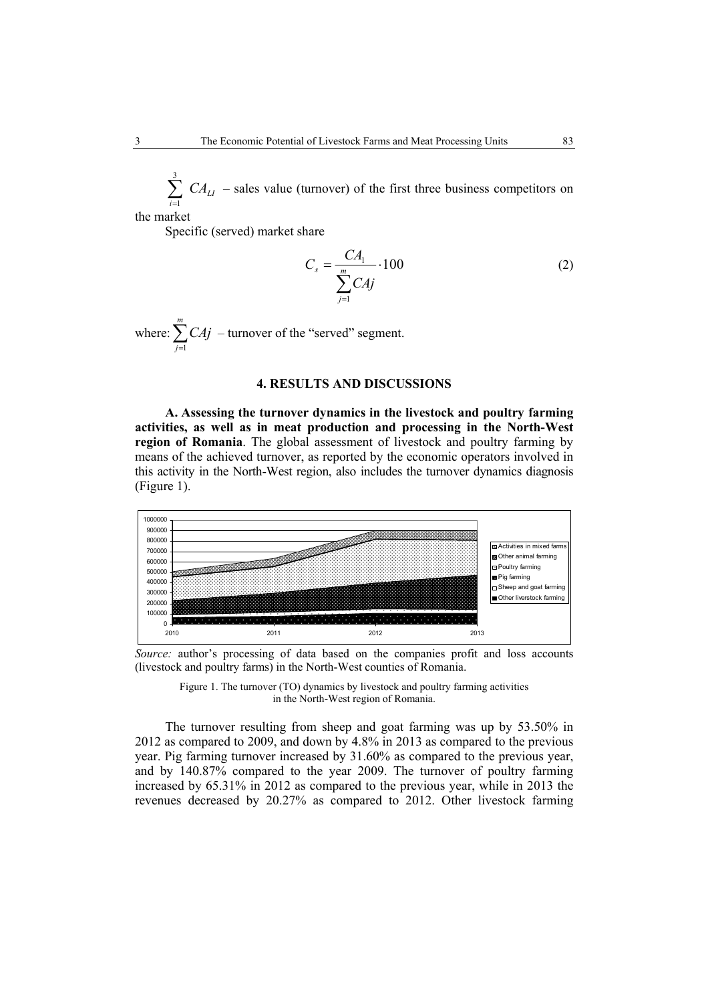*LI*  $\sum_{i=1}^3$  *CA* 1 – sales value (turnover) of the first three business competitors on

the market

Specific (served) market share

$$
C_s = \frac{CA_1}{\sum_{j=1}^{m} CA_j} \cdot 100
$$
 (2)

where:  $\sum_{j=1}^{m}$ *j CAj* 1 – turnover of the "served" segment.

# **4. RESULTS AND DISCUSSIONS**

**A. Assessing the turnover dynamics in the livestock and poultry farming activities, as well as in meat production and processing in the North-West region of Romania**. The global assessment of livestock and poultry farming by means of the achieved turnover, as reported by the economic operators involved in this activity in the North-West region, also includes the turnover dynamics diagnosis (Figure 1).



*Source:* author's processing of data based on the companies profit and loss accounts (livestock and poultry farms) in the North-West counties of Romania.



The turnover resulting from sheep and goat farming was up by 53.50% in 2012 as compared to 2009, and down by 4.8% in 2013 as compared to the previous year. Pig farming turnover increased by 31.60% as compared to the previous year, and by 140.87% compared to the year 2009. The turnover of poultry farming increased by 65.31% in 2012 as compared to the previous year, while in 2013 the revenues decreased by 20.27% as compared to 2012. Other livestock farming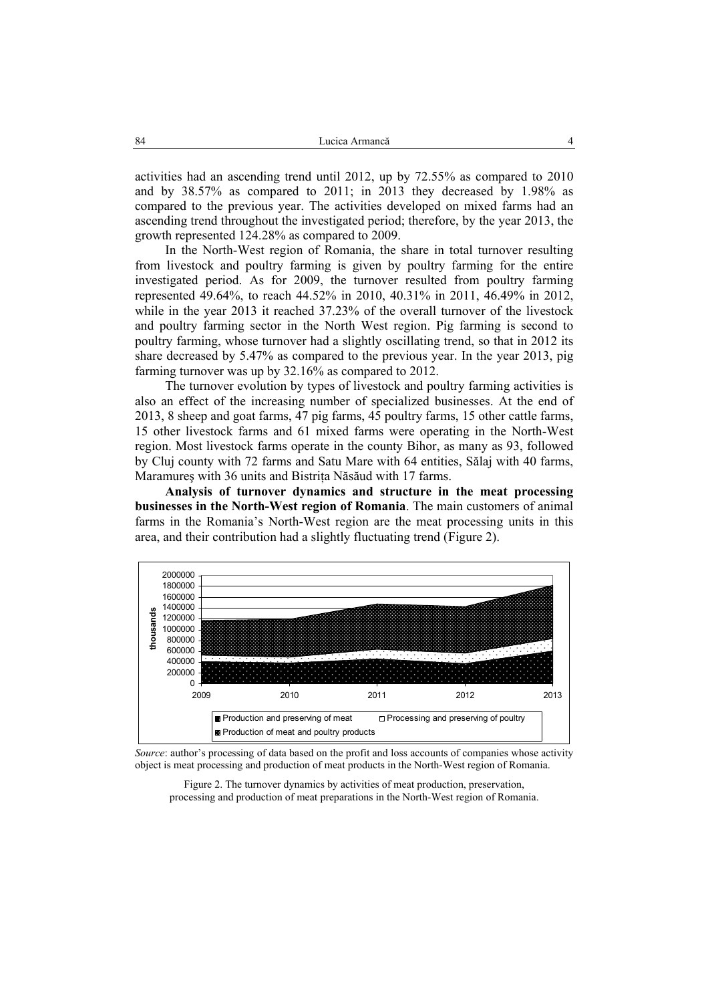activities had an ascending trend until 2012, up by 72.55% as compared to 2010 and by 38.57% as compared to 2011; in 2013 they decreased by 1.98% as compared to the previous year. The activities developed on mixed farms had an ascending trend throughout the investigated period; therefore, by the year 2013, the growth represented 124.28% as compared to 2009.

In the North-West region of Romania, the share in total turnover resulting from livestock and poultry farming is given by poultry farming for the entire investigated period. As for 2009, the turnover resulted from poultry farming represented 49.64%, to reach 44.52% in 2010, 40.31% in 2011, 46.49% in 2012, while in the year 2013 it reached 37.23% of the overall turnover of the livestock and poultry farming sector in the North West region. Pig farming is second to poultry farming, whose turnover had a slightly oscillating trend, so that in 2012 its share decreased by 5.47% as compared to the previous year. In the year 2013, pig farming turnover was up by 32.16% as compared to 2012.

The turnover evolution by types of livestock and poultry farming activities is also an effect of the increasing number of specialized businesses. At the end of 2013, 8 sheep and goat farms, 47 pig farms, 45 poultry farms, 15 other cattle farms, 15 other livestock farms and 61 mixed farms were operating in the North-West region. Most livestock farms operate in the county Bihor, as many as 93, followed by Cluj county with 72 farms and Satu Mare with 64 entities, Sălaj with 40 farms, Maramures with 36 units and Bistrita Năsăud with 17 farms.

**Analysis of turnover dynamics and structure in the meat processing businesses in the North-West region of Romania**. The main customers of animal farms in the Romania's North-West region are the meat processing units in this area, and their contribution had a slightly fluctuating trend (Figure 2).



*Source*: author's processing of data based on the profit and loss accounts of companies whose activity object is meat processing and production of meat products in the North-West region of Romania.

Figure 2. The turnover dynamics by activities of meat production, preservation, processing and production of meat preparations in the North-West region of Romania.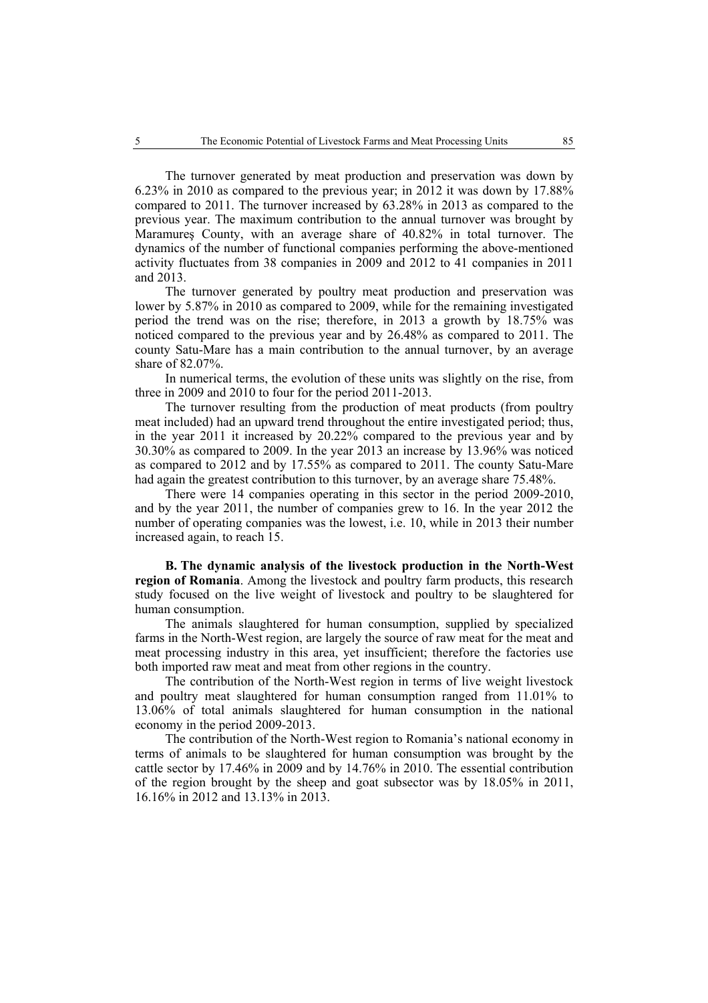The turnover generated by meat production and preservation was down by 6.23% in 2010 as compared to the previous year; in 2012 it was down by 17.88% compared to 2011. The turnover increased by 63.28% in 2013 as compared to the previous year. The maximum contribution to the annual turnover was brought by Maramureş County, with an average share of 40.82% in total turnover. The dynamics of the number of functional companies performing the above-mentioned activity fluctuates from 38 companies in 2009 and 2012 to 41 companies in 2011 and 2013.

The turnover generated by poultry meat production and preservation was lower by 5.87% in 2010 as compared to 2009, while for the remaining investigated period the trend was on the rise; therefore, in 2013 a growth by 18.75% was noticed compared to the previous year and by 26.48% as compared to 2011. The county Satu-Mare has a main contribution to the annual turnover, by an average share of 82.07%.

In numerical terms, the evolution of these units was slightly on the rise, from three in 2009 and 2010 to four for the period 2011-2013.

The turnover resulting from the production of meat products (from poultry meat included) had an upward trend throughout the entire investigated period; thus, in the year 2011 it increased by 20.22% compared to the previous year and by 30.30% as compared to 2009. In the year 2013 an increase by 13.96% was noticed as compared to 2012 and by 17.55% as compared to 2011. The county Satu-Mare had again the greatest contribution to this turnover, by an average share 75.48%.

There were 14 companies operating in this sector in the period 2009-2010, and by the year 2011, the number of companies grew to 16. In the year 2012 the number of operating companies was the lowest, i.e. 10, while in 2013 their number increased again, to reach 15.

**B. The dynamic analysis of the livestock production in the North-West region of Romania**. Among the livestock and poultry farm products, this research study focused on the live weight of livestock and poultry to be slaughtered for human consumption.

The animals slaughtered for human consumption, supplied by specialized farms in the North-West region, are largely the source of raw meat for the meat and meat processing industry in this area, yet insufficient; therefore the factories use both imported raw meat and meat from other regions in the country.

The contribution of the North-West region in terms of live weight livestock and poultry meat slaughtered for human consumption ranged from 11.01% to 13.06% of total animals slaughtered for human consumption in the national economy in the period 2009-2013.

The contribution of the North-West region to Romania's national economy in terms of animals to be slaughtered for human consumption was brought by the cattle sector by 17.46% in 2009 and by 14.76% in 2010. The essential contribution of the region brought by the sheep and goat subsector was by 18.05% in 2011, 16.16% in 2012 and 13.13% in 2013.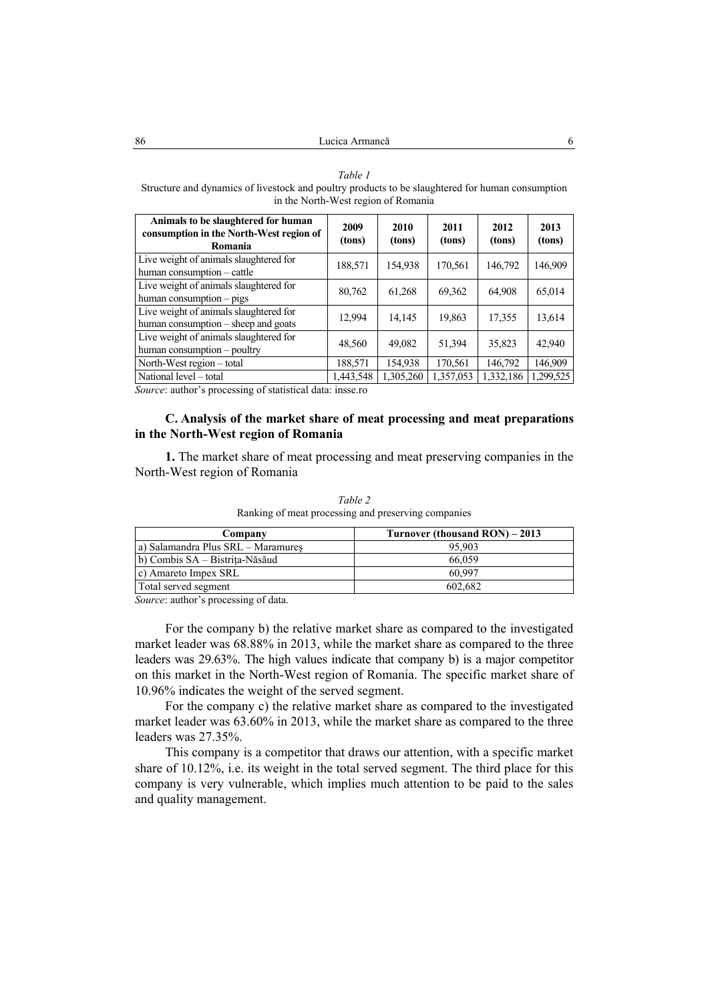#### *Table 1*

Structure and dynamics of livestock and poultry products to be slaughtered for human consumption in the North-West region of Romania

| Animals to be slaughtered for human<br>consumption in the North-West region of<br>Romania | 2009<br>(tons) | 2010<br>(tons) | 2011<br>(tons) | 2012<br>(tons) | 2013<br>(tons) |
|-------------------------------------------------------------------------------------------|----------------|----------------|----------------|----------------|----------------|
| Live weight of animals slaughtered for<br>human consumption – cattle                      | 188,571        | 154,938        | 170,561        | 146,792        | 146,909        |
| Live weight of animals slaughtered for<br>human consumption – pigs                        | 80,762         | 61,268         | 69,362         | 64,908         | 65,014         |
| Live weight of animals slaughtered for<br>human consumption – sheep and goats             | 12.994         | 14,145         | 19,863         | 17,355         | 13,614         |
| Live weight of animals slaughtered for<br>human consumption - poultry                     | 48,560         | 49,082         | 51,394         | 35,823         | 42,940         |
| North-West region – total                                                                 | 188,571        | 154,938        | 170,561        | 146,792        | 146,909        |
| National level – total                                                                    | 1,443,548      | 1,305,260      | 1,357,053      | 1,332,186      | 1,299,525      |

*Source*: author's processing of statistical data: insse.ro

# **C. Analysis of the market share of meat processing and meat preparations in the North-West region of Romania**

**1.** The market share of meat processing and meat preserving companies in the North-West region of Romania

| Company                            | Turnover (thousand RON) – 2013 |  |  |
|------------------------------------|--------------------------------|--|--|
| a) Salamandra Plus SRL – Maramures | 95.903                         |  |  |
| b) Combis SA – Bistrita-Năsăud     | 66.059                         |  |  |
| c) Amareto Impex SRL               | 60.997                         |  |  |
| Total served segment               | 602.682                        |  |  |

*Table 2*  Ranking of meat processing and preserving companies

*Source*: author's processing of data.

For the company b) the relative market share as compared to the investigated market leader was 68.88% in 2013, while the market share as compared to the three leaders was 29.63%. The high values indicate that company b) is a major competitor on this market in the North-West region of Romania. The specific market share of 10.96% indicates the weight of the served segment.

For the company c) the relative market share as compared to the investigated market leader was 63.60% in 2013, while the market share as compared to the three leaders was 27.35%.

This company is a competitor that draws our attention, with a specific market share of 10.12%, i.e. its weight in the total served segment. The third place for this company is very vulnerable, which implies much attention to be paid to the sales and quality management.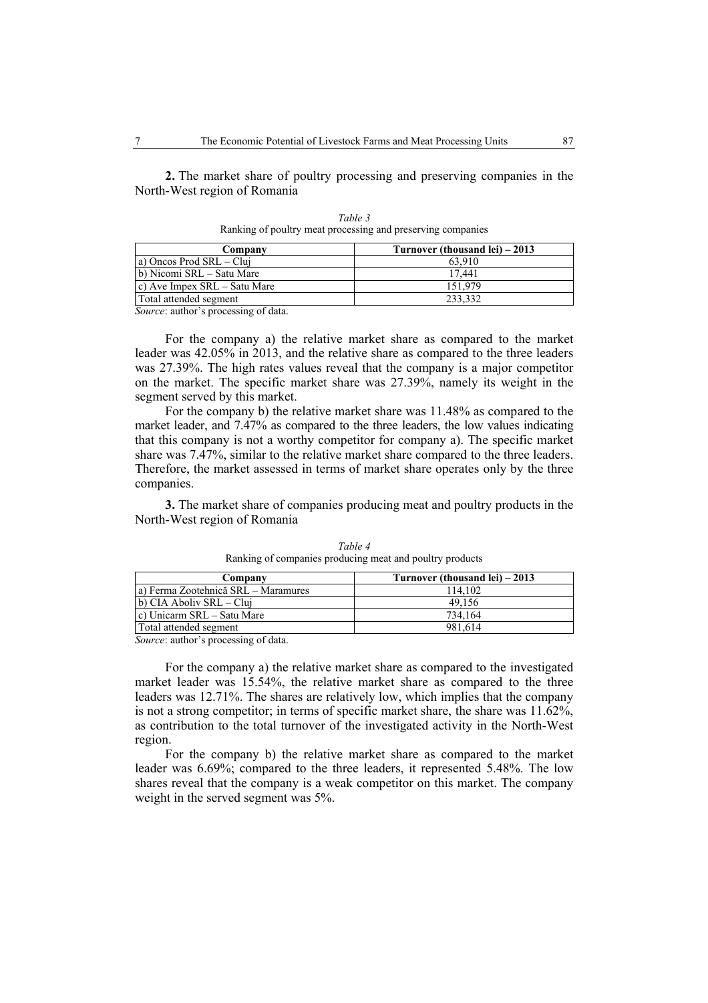**2.** The market share of poultry processing and preserving companies in the North-West region of Romania

| Turnover (thousand lei) – 2013 |
|--------------------------------|
| 63.910                         |
| 17.441                         |
| 151.979                        |
| 233.332                        |
|                                |

*Table 3*  Ranking of poultry meat processing and preserving companies

*Source*: author's processing of data.

For the company a) the relative market share as compared to the market leader was 42.05% in 2013, and the relative share as compared to the three leaders was 27.39%. The high rates values reveal that the company is a major competitor on the market. The specific market share was 27.39%, namely its weight in the segment served by this market.

For the company b) the relative market share was 11.48% as compared to the market leader, and 7.47% as compared to the three leaders, the low values indicating that this company is not a worthy competitor for company a). The specific market share was 7.47%, similar to the relative market share compared to the three leaders. Therefore, the market assessed in terms of market share operates only by the three companies.

**3.** The market share of companies producing meat and poultry products in the North-West region of Romania

| Company                             | Turnover (thousand lei) $-2013$ |
|-------------------------------------|---------------------------------|
| a) Ferma Zootehnică SRL – Maramures | 114.102                         |
| b) CIA Aboliv SRL – Clui            | 49.156                          |
| c) Unicarm SRL – Satu Mare          | 734.164                         |
| Total attended segment              | 981.614                         |

*Table 4*  Ranking of companies producing meat and poultry products

*Source*: author's processing of data.

For the company a) the relative market share as compared to the investigated market leader was 15.54%, the relative market share as compared to the three leaders was 12.71%. The shares are relatively low, which implies that the company is not a strong competitor; in terms of specific market share, the share was 11.62%, as contribution to the total turnover of the investigated activity in the North-West region.

For the company b) the relative market share as compared to the market leader was 6.69%; compared to the three leaders, it represented 5.48%. The low shares reveal that the company is a weak competitor on this market. The company weight in the served segment was 5%.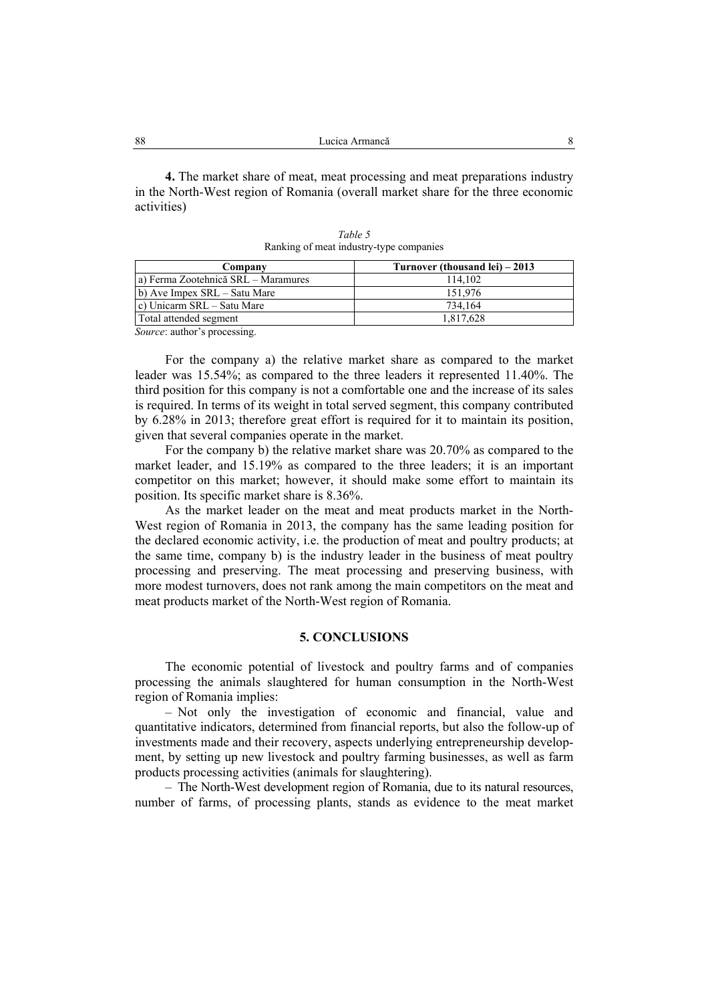**4.** The market share of meat, meat processing and meat preparations industry in the North-West region of Romania (overall market share for the three economic activities)

| Turnover (thousand lei) – 2013 |  |
|--------------------------------|--|
| 114.102                        |  |
| 151.976                        |  |
| 734.164                        |  |
| 1,817,628                      |  |
|                                |  |

*Table 5*  Ranking of meat industry-type companies

*Source*: author's processing.

For the company a) the relative market share as compared to the market leader was 15.54%; as compared to the three leaders it represented 11.40%. The third position for this company is not a comfortable one and the increase of its sales is required. In terms of its weight in total served segment, this company contributed by 6.28% in 2013; therefore great effort is required for it to maintain its position, given that several companies operate in the market.

For the company b) the relative market share was 20.70% as compared to the market leader, and 15.19% as compared to the three leaders; it is an important competitor on this market; however, it should make some effort to maintain its position. Its specific market share is 8.36%.

As the market leader on the meat and meat products market in the North-West region of Romania in 2013, the company has the same leading position for the declared economic activity, i.e. the production of meat and poultry products; at the same time, company b) is the industry leader in the business of meat poultry processing and preserving. The meat processing and preserving business, with more modest turnovers, does not rank among the main competitors on the meat and meat products market of the North-West region of Romania.

## **5. CONCLUSIONS**

The economic potential of livestock and poultry farms and of companies processing the animals slaughtered for human consumption in the North-West region of Romania implies:

– Not only the investigation of economic and financial, value and quantitative indicators, determined from financial reports, but also the follow-up of investments made and their recovery, aspects underlying entrepreneurship development, by setting up new livestock and poultry farming businesses, as well as farm products processing activities (animals for slaughtering).

– The North-West development region of Romania, due to its natural resources, number of farms, of processing plants, stands as evidence to the meat market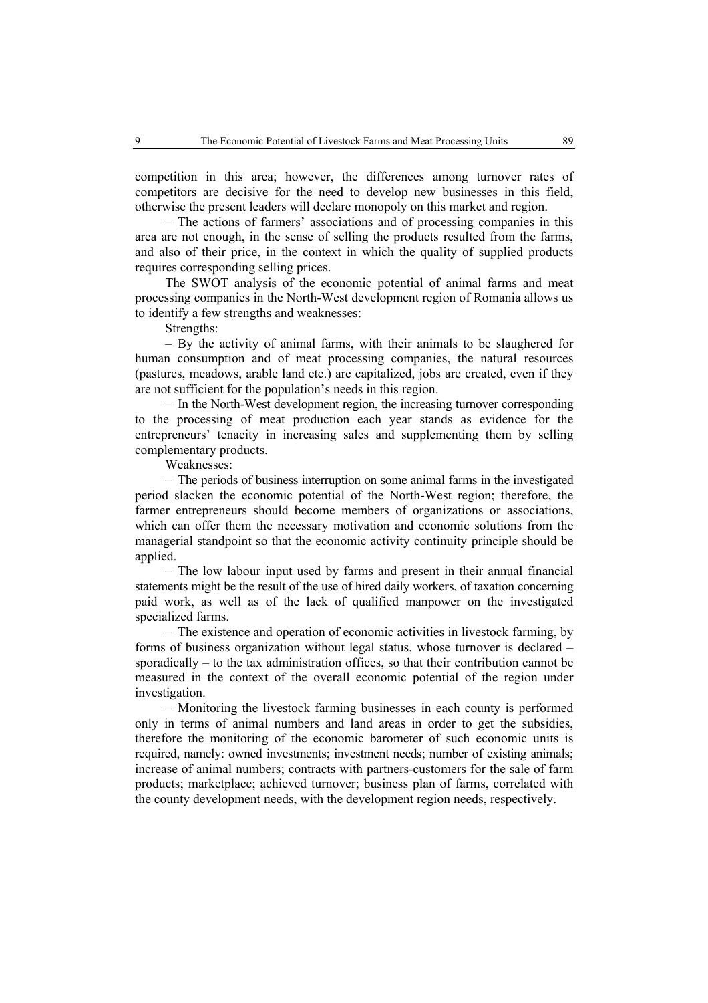competition in this area; however, the differences among turnover rates of competitors are decisive for the need to develop new businesses in this field, otherwise the present leaders will declare monopoly on this market and region.

– The actions of farmers' associations and of processing companies in this area are not enough, in the sense of selling the products resulted from the farms, and also of their price, in the context in which the quality of supplied products requires corresponding selling prices.

The SWOT analysis of the economic potential of animal farms and meat processing companies in the North-West development region of Romania allows us to identify a few strengths and weaknesses:

Strengths:

– By the activity of animal farms, with their animals to be slaughered for human consumption and of meat processing companies, the natural resources (pastures, meadows, arable land etc.) are capitalized, jobs are created, even if they are not sufficient for the population's needs in this region.

– In the North-West development region, the increasing turnover corresponding to the processing of meat production each year stands as evidence for the entrepreneurs' tenacity in increasing sales and supplementing them by selling complementary products.

Weaknesses:

– The periods of business interruption on some animal farms in the investigated period slacken the economic potential of the North-West region; therefore, the farmer entrepreneurs should become members of organizations or associations, which can offer them the necessary motivation and economic solutions from the managerial standpoint so that the economic activity continuity principle should be applied.

– The low labour input used by farms and present in their annual financial statements might be the result of the use of hired daily workers, of taxation concerning paid work, as well as of the lack of qualified manpower on the investigated specialized farms.

– The existence and operation of economic activities in livestock farming, by forms of business organization without legal status, whose turnover is declared – sporadically – to the tax administration offices, so that their contribution cannot be measured in the context of the overall economic potential of the region under investigation.

– Monitoring the livestock farming businesses in each county is performed only in terms of animal numbers and land areas in order to get the subsidies, therefore the monitoring of the economic barometer of such economic units is required, namely: owned investments; investment needs; number of existing animals; increase of animal numbers; contracts with partners-customers for the sale of farm products; marketplace; achieved turnover; business plan of farms, correlated with the county development needs, with the development region needs, respectively.